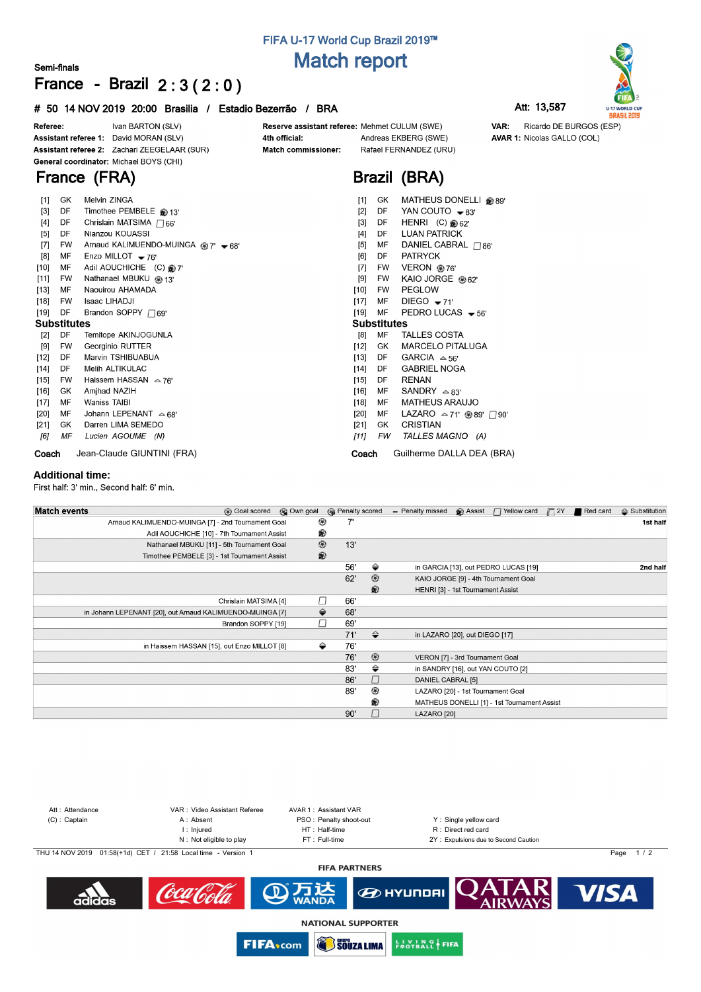## **FIFA U-17 World Cup Brazil 2019™ Match report**

### **Semi-finals**

# **France - Brazil 2 : 3 ( 2 : 0 )**

#### **# 50 14 NOV 2019 20:00 Brasilia / Estadio Bezerrão / BRA Att: 13,587**





Ivan BARTON (SLV) Reserve assistant referee: Mehmet CULUM (SWE) VAR: Ricardo DE BURGOS (ESP) Referee: Assistant referee 1: David MORAN (SLV) 4th official: Andreas EKBERG (SWE) **AVAR 1: Nicolas GALLO (COL)** Assistant referee 2: Zachari ZEEGELAAR (SUR) Match commissioner: Rafael FERNANDEZ (URU) General coordinator: Michael BOYS (CHI) **France (FRA) Brazil (BRA)**  $\mathbf{r}$  $PQ$ 

| $[1]$              | GK | Melvin ZINGA                        | $[1]$  | GK                 | MATHEUS DONELLI @ 89'                   |  |  |  |  |  |
|--------------------|----|-------------------------------------|--------|--------------------|-----------------------------------------|--|--|--|--|--|
| $[3]$              | DF | Timothee PEMBELE @ 13'              | $[2]$  | DF                 | YAN COUTO $\bullet$ 83'                 |  |  |  |  |  |
| $[4]$              | DF | Chrislain MATSIMA $\sqcap$ 66'      | $[3]$  | DF                 | HENRI (C) $62'$                         |  |  |  |  |  |
| $[5]$              | DF | Nianzou KOUASSI                     | $[4]$  | DF                 | <b>LUAN PATRICK</b>                     |  |  |  |  |  |
| $[7]$              | FW | Arnaud KALIMUENDO-MUINGA @ 7' - 68' | $[5]$  | MF                 | DANIEL CABRAL $\Box$ 86'                |  |  |  |  |  |
| [8]                | МF | Enzo MILLOT $-76'$                  | [6]    | DF                 | <b>PATRYCK</b>                          |  |  |  |  |  |
| [10]               | МF | Adil AOUCHICHE (C) @ 7'             | $[7]$  | <b>FW</b>          | VERON @76'                              |  |  |  |  |  |
| $[11]$             | FW | Nathanael MBUKU @ 13'               | [9]    | FW                 | KAIO JORGE @ 62'                        |  |  |  |  |  |
| $[13]$             | MF | Naouirou AHAMADA                    | $[10]$ | <b>FW</b>          | <b>PEGLOW</b>                           |  |  |  |  |  |
| $[18]$             | FW | Isaac LIHADJI                       | [17]   | МF                 | DIEGO $-71'$                            |  |  |  |  |  |
| [19]               | DF | Brandon SOPPY $\Box$ 69'            | [19]   | MF                 | PEDRO LUCAS $-56'$                      |  |  |  |  |  |
| <b>Substitutes</b> |    |                                     |        | <b>Substitutes</b> |                                         |  |  |  |  |  |
| [2]                | DF | Temitope AKINJOGUNLA                | [8]    | МF                 | <b>TALLES COSTA</b>                     |  |  |  |  |  |
| [9]                | FW | Georginio RUTTER                    | [12]   | GK.                | <b>MARCELO PITALUGA</b>                 |  |  |  |  |  |
| [12]               | DF | Marvin TSHIBUABUA                   | $[13]$ | DF                 | GARCIA $\approx$ 56'                    |  |  |  |  |  |
| [14]               | DF | Melih ALTIKULAC                     | [14]   | DF                 | <b>GABRIEL NOGA</b>                     |  |  |  |  |  |
| $[15]$             | FW | Haissem HASSAN $\approx$ 76'        | [15]   | DF                 | RENAN                                   |  |  |  |  |  |
| $[16]$             | GK | Amjhad NAZIH                        | $[16]$ | MF                 | SANDRY $\triangle$ 83'                  |  |  |  |  |  |
| $[17]$             | MF | Waniss TAIBI                        | $[18]$ | MF                 | <b>MATHEUS ARAUJO</b>                   |  |  |  |  |  |
| [20]               | МF | Johann LEPENANT $\approx$ 68'       | [20]   | МF                 | LAZARO $\triangle$ 71' @ 89' $\Box$ 90' |  |  |  |  |  |
| [21]               | GK | Darren LIMA SEMEDO                  | $[21]$ | GK                 | <b>CRISTIAN</b>                         |  |  |  |  |  |
| [6]                | ΜF | Lucien AGOUME (N)                   | [11]   | FW                 | TALLES MAGNO (A)                        |  |  |  |  |  |
| Coach              |    | Jean-Claude GIUNTINI (FRA)          | Coach  |                    | Guilherme DALLA DEA (BRA)               |  |  |  |  |  |

#### **Additional time:**

First half: 3' min., Second half: 6' min.

| <b>Match events</b><br><b>B</b> Goal scored               | © Own goal     |     | <b>B</b> Penalty scored | - Penalty missed  | <b>B</b> Assist                   | □ Yellow card                               | $\Box$ 2Y | Red card | $\triangle$ Substitution |
|-----------------------------------------------------------|----------------|-----|-------------------------|-------------------|-----------------------------------|---------------------------------------------|-----------|----------|--------------------------|
| Arnaud KALIMUENDO-MUINGA [7] - 2nd Tournament Goal        | ⊛              |     |                         |                   |                                   |                                             |           |          | 1st half                 |
| Adil AOUCHICHE [10] - 7th Tournament Assist               | ®              |     |                         |                   |                                   |                                             |           |          |                          |
| Nathanael MBUKU [11] - 5th Tournament Goal                | $^{\circledR}$ |     | 13'                     |                   |                                   |                                             |           |          |                          |
| Timothee PEMBELE [3] - 1st Tournament Assist              | ®              |     |                         |                   |                                   |                                             |           |          |                          |
|                                                           |                |     | ⇔<br>56'                |                   |                                   | in GARCIA [13], out PEDRO LUCAS [19]        |           |          | 2nd half                 |
|                                                           |                |     | $\circledcirc$<br>62'   |                   |                                   | KAIO JORGE [9] - 4th Tournament Goal        |           |          |                          |
|                                                           |                |     | ®                       |                   | HENRI [3] - 1st Tournament Assist |                                             |           |          |                          |
| Chrislain MATSIMA [4]                                     | П              | 66' |                         |                   |                                   |                                             |           |          |                          |
| in Johann LEPENANT [20], out Arnaud KALIMUENDO-MUINGA [7] | ⇔              | 68' |                         |                   |                                   |                                             |           |          |                          |
| Brandon SOPPY [19]                                        | П              |     | 69'                     |                   |                                   |                                             |           |          |                          |
|                                                           |                |     | ♦<br>71'                |                   | in LAZARO [20], out DIEGO [17]    |                                             |           |          |                          |
| in Haissem HASSAN [15], out Enzo MILLOT [8]               | ⇔              |     | 76'                     |                   |                                   |                                             |           |          |                          |
|                                                           |                |     | $\circledcirc$<br>76'   |                   | VERON [7] - 3rd Tournament Goal   |                                             |           |          |                          |
|                                                           |                |     | ⇔<br>83'                |                   |                                   | in SANDRY [16], out YAN COUTO [2]           |           |          |                          |
|                                                           |                |     | □<br>86'                | DANIEL CABRAL [5] |                                   |                                             |           |          |                          |
|                                                           |                |     | ⊛<br>89'                |                   |                                   | LAZARO [20] - 1st Tournament Goal           |           |          |                          |
|                                                           |                |     | ®                       |                   |                                   | MATHEUS DONELLI [1] - 1st Tournament Assist |           |          |                          |
|                                                           |                | 90' |                         | LAZARO [20]       |                                   |                                             |           |          |                          |